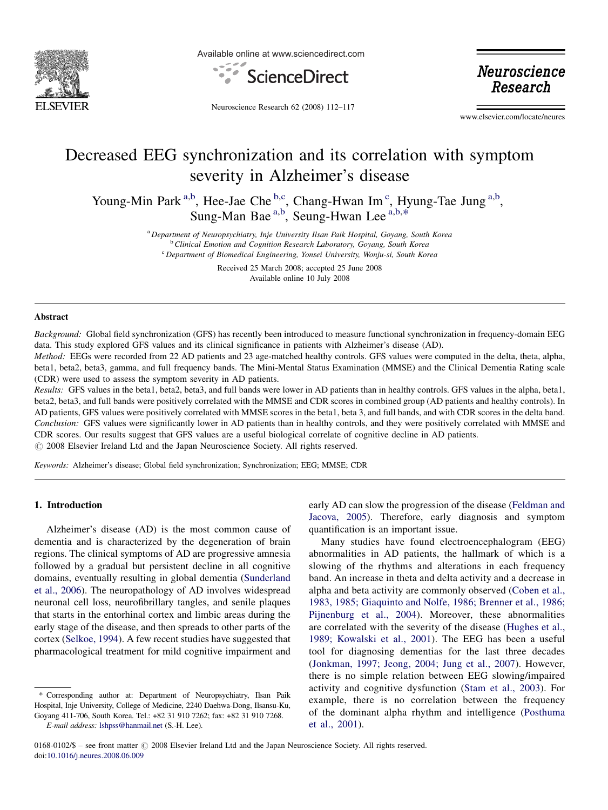

Available online at www.sciencedirect.com



Neuroscience Research

Neuroscience Research 62 (2008) 112–117

www.elsevier.com/locate/neures

# Decreased EEG synchronization and its correlation with symptom severity in Alzheimer's disease

Young-Min Park<sup>a,b</sup>, Hee-Jae Che<sup>b,c</sup>, Chang-Hwan Im<sup>c</sup>, Hyung-Tae Jung<sup>a,b</sup>, Sung-Man Bae<sup>a,b</sup>, Seung-Hwan Lee<sup>a,b,\*</sup>

> <sup>a</sup> Department of Neuropsychiatry, Inje University Ilsan Paik Hospital, Goyang, South Korea <sup>b</sup> Clinical Emotion and Cognition Research Laboratory, Goyang, South Korea

 $c$  Department of Biomedical Engineering, Yonsei University, Wonju-si, South Korea Received 25 March 2008; accepted 25 June 2008

Available online 10 July 2008

## Abstract

Background: Global field synchronization (GFS) has recently been introduced to measure functional synchronization in frequency-domain EEG data. This study explored GFS values and its clinical significance in patients with Alzheimer's disease (AD).

Method: EEGs were recorded from 22 AD patients and 23 age-matched healthy controls. GFS values were computed in the delta, theta, alpha, beta1, beta2, beta3, gamma, and full frequency bands. The Mini-Mental Status Examination (MMSE) and the Clinical Dementia Rating scale (CDR) were used to assess the symptom severity in AD patients.

Results: GFS values in the beta1, beta2, beta3, and full bands were lower in AD patients than in healthy controls. GFS values in the alpha, beta1, beta2, beta3, and full bands were positively correlated with the MMSE and CDR scores in combined group (AD patients and healthy controls). In AD patients, GFS values were positively correlated with MMSE scores in the beta1, beta 3, and full bands, and with CDR scores in the delta band. Conclusion: GFS values were significantly lower in AD patients than in healthy controls, and they were positively correlated with MMSE and CDR scores. Our results suggest that GFS values are a useful biological correlate of cognitive decline in AD patients.  $\odot$  2008 Elsevier Ireland Ltd and the Japan Neuroscience Society. All rights reserved.

Keywords: Alzheimer's disease; Global field synchronization; Synchronization; EEG; MMSE; CDR

# 1. Introduction

Alzheimer's disease (AD) is the most common cause of dementia and is characterized by the degeneration of brain regions. The clinical symptoms of AD are progressive amnesia followed by a gradual but persistent decline in all cognitive domains, eventually resulting in global dementia [\(Sunderland](#page-5-0) [et al., 2006\)](#page-5-0). The neuropathology of AD involves widespread neuronal cell loss, neurofibrillary tangles, and senile plaques that starts in the entorhinal cortex and limbic areas during the early stage of the disease, and then spreads to other parts of the cortex [\(Selkoe, 1994](#page-5-0)). A few recent studies have suggested that pharmacological treatment for mild cognitive impairment and early AD can slow the progression of the disease ([Feldman and](#page-4-0) [Jacova, 2005](#page-4-0)). Therefore, early diagnosis and symptom quantification is an important issue.

Many studies have found electroencephalogram (EEG) abnormalities in AD patients, the hallmark of which is a slowing of the rhythms and alterations in each frequency band. An increase in theta and delta activity and a decrease in alpha and beta activity are commonly observed ([Coben et al.,](#page-4-0) [1983, 1985; Giaquinto and Nolfe, 1986; Brenner et al., 1986;](#page-4-0) [Pijnenburg et al., 2004](#page-4-0)). Moreover, these abnormalities are correlated with the severity of the disease ([Hughes et al.,](#page-4-0) [1989; Kowalski et al., 2001\)](#page-4-0). The EEG has been a useful tool for diagnosing dementias for the last three decades ([Jonkman, 1997; Jeong, 2004; Jung et al., 2007\)](#page-4-0). However, there is no simple relation between EEG slowing/impaired activity and cognitive dysfunction ([Stam et al., 2003\)](#page-5-0). For example, there is no correlation between the frequency of the dominant alpha rhythm and intelligence ([Posthuma](#page-5-0) [et al., 2001\)](#page-5-0).

<sup>\*</sup> Corresponding author at: Department of Neuropsychiatry, Ilsan Paik Hospital, Inje University, College of Medicine, 2240 Daehwa-Dong, Ilsansu-Ku, Goyang 411-706, South Korea. Tel.: +82 31 910 7262; fax: +82 31 910 7268.

E-mail address: [lshpss@hanmail.net](mailto:lshpss@hanmail.net) (S.-H. Lee).

<sup>0168-0102/\$ –</sup> see front matter  $\odot$  2008 Elsevier Ireland Ltd and the Japan Neuroscience Society. All rights reserved. doi[:10.1016/j.neures.2008.06.009](http://dx.doi.org/10.1016/j.neures.2008.06.009)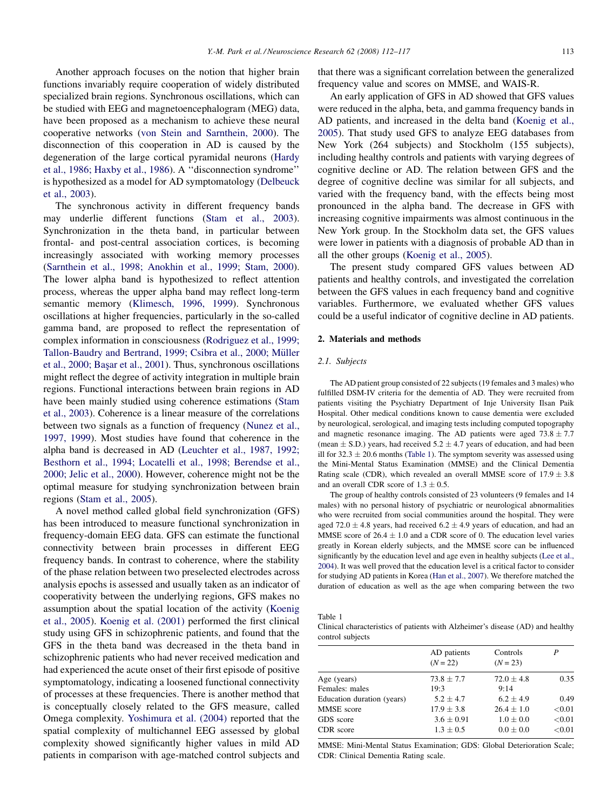<span id="page-1-0"></span>Another approach focuses on the notion that higher brain functions invariably require cooperation of widely distributed specialized brain regions. Synchronous oscillations, which can be studied with EEG and magnetoencephalogram (MEG) data, have been proposed as a mechanism to achieve these neural cooperative networks [\(von Stein and Sarnthein, 2000\)](#page-5-0). The disconnection of this cooperation in AD is caused by the degeneration of the large cortical pyramidal neurons ([Hardy](#page-4-0) [et al., 1986; Haxby et al., 1986](#page-4-0)). A ''disconnection syndrome'' is hypothesized as a model for AD symptomatology [\(Delbeuck](#page-4-0) [et al., 2003\)](#page-4-0).

The synchronous activity in different frequency bands may underlie different functions ([Stam et al., 2003\)](#page-5-0). Synchronization in the theta band, in particular between frontal- and post-central association cortices, is becoming increasingly associated with working memory processes ([Sarnthein et al., 1998; Anokhin et al., 1999; Stam, 2000\)](#page-5-0). The lower alpha band is hypothesized to reflect attention process, whereas the upper alpha band may reflect long-term semantic memory ([Klimesch, 1996, 1999](#page-5-0)). Synchronous oscillations at higher frequencies, particularly in the so-called gamma band, are proposed to reflect the representation of complex information in consciousness [\(Rodriguez et al., 1999;](#page-5-0) Tallon-Baudry and Bertrand, 1999; Csibra et al., 2000; Müller et al., 2000; Başar et al., 2001). Thus, synchronous oscillations might reflect the degree of activity integration in multiple brain regions. Functional interactions between brain regions in AD have been mainly studied using coherence estimations [\(Stam](#page-5-0) [et al., 2003\)](#page-5-0). Coherence is a linear measure of the correlations between two signals as a function of frequency ([Nunez et al.,](#page-5-0) [1997, 1999](#page-5-0)). Most studies have found that coherence in the alpha band is decreased in AD ([Leuchter et al., 1987, 1992;](#page-5-0) [Besthorn et al., 1994; Locatelli et al., 1998; Berendse et al.,](#page-5-0) [2000; Jelic et al., 2000](#page-5-0)). However, coherence might not be the optimal measure for studying synchronization between brain regions [\(Stam et al., 2005\)](#page-5-0).

A novel method called global field synchronization (GFS) has been introduced to measure functional synchronization in frequency-domain EEG data. GFS can estimate the functional connectivity between brain processes in different EEG frequency bands. In contrast to coherence, where the stability of the phase relation between two preselected electrodes across analysis epochs is assessed and usually taken as an indicator of cooperativity between the underlying regions, GFS makes no assumption about the spatial location of the activity [\(Koenig](#page-5-0) [et al., 2005\)](#page-5-0). [Koenig et al. \(2001\)](#page-5-0) performed the first clinical study using GFS in schizophrenic patients, and found that the GFS in the theta band was decreased in the theta band in schizophrenic patients who had never received medication and had experienced the acute onset of their first episode of positive symptomatology, indicating a loosened functional connectivity of processes at these frequencies. There is another method that is conceptually closely related to the GFS measure, called Omega complexity. [Yoshimura et al. \(2004\)](#page-5-0) reported that the spatial complexity of multichannel EEG assessed by global complexity showed significantly higher values in mild AD patients in comparison with age-matched control subjects and

that there was a significant correlation between the generalized frequency value and scores on MMSE, and WAIS-R.

An early application of GFS in AD showed that GFS values were reduced in the alpha, beta, and gamma frequency bands in AD patients, and increased in the delta band ([Koenig et al.,](#page-5-0) [2005](#page-5-0)). That study used GFS to analyze EEG databases from New York (264 subjects) and Stockholm (155 subjects), including healthy controls and patients with varying degrees of cognitive decline or AD. The relation between GFS and the degree of cognitive decline was similar for all subjects, and varied with the frequency band, with the effects being most pronounced in the alpha band. The decrease in GFS with increasing cognitive impairments was almost continuous in the New York group. In the Stockholm data set, the GFS values were lower in patients with a diagnosis of probable AD than in all the other groups [\(Koenig et al., 2005\)](#page-5-0).

The present study compared GFS values between AD patients and healthy controls, and investigated the correlation between the GFS values in each frequency band and cognitive variables. Furthermore, we evaluated whether GFS values could be a useful indicator of cognitive decline in AD patients.

## 2. Materials and methods

## 2.1. Subjects

The AD patient group consisted of 22 subjects (19 females and 3 males) who fulfilled DSM-IV criteria for the dementia of AD. They were recruited from patients visiting the Psychiatry Department of Inje University Ilsan Paik Hospital. Other medical conditions known to cause dementia were excluded by neurological, serological, and imaging tests including computed topography and magnetic resonance imaging. The AD patients were aged  $73.8 \pm 7.7$ (mean  $\pm$  S.D.) years, had received 5.2  $\pm$  4.7 years of education, and had been ill for  $32.3 \pm 20.6$  months (Table 1). The symptom severity was assessed using the Mini-Mental Status Examination (MMSE) and the Clinical Dementia Rating scale (CDR), which revealed an overall MMSE score of  $17.9 \pm 3.8$ and an overall CDR score of  $1.3 \pm 0.5$ .

The group of healthy controls consisted of 23 volunteers (9 females and 14 males) with no personal history of psychiatric or neurological abnormalities who were recruited from social communities around the hospital. They were aged 72.0  $\pm$  4.8 years, had received 6.2  $\pm$  4.9 years of education, and had an MMSE score of  $26.4 \pm 1.0$  and a CDR score of 0. The education level varies greatly in Korean elderly subjects, and the MMSE score can be influenced significantly by the education level and age even in healthy subjects [\(Lee et al.,](#page-5-0) [2004](#page-5-0)). It was well proved that the education level is a critical factor to consider for studying AD patients in Korea ([Han et al., 2007](#page-4-0)). We therefore matched the duration of education as well as the age when comparing between the two

Table 1

Clinical characteristics of patients with Alzheimer's disease (AD) and healthy control subjects

|                            | AD patients<br>$(N = 22)$ | Controls<br>$(N = 23)$ | P      |
|----------------------------|---------------------------|------------------------|--------|
| Age (years)                | $73.8 \pm 7.7$            | $72.0 \pm 4.8$         | 0.35   |
| Females: males             | 19:3                      | 9:14                   |        |
| Education duration (years) | $5.2 + 4.7$               | $6.2 \pm 4.9$          | 0.49   |
| MMSE score                 | $17.9 \pm 3.8$            | $26.4 + 1.0$           | < 0.01 |
| GDS score                  | $3.6 \pm 0.91$            | $1.0 + 0.0$            | < 0.01 |
| CDR score                  | $1.3 \pm 0.5$             | $0.0 \pm 0.0$          | < 0.01 |
|                            |                           |                        |        |

MMSE: Mini-Mental Status Examination; GDS: Global Deterioration Scale; CDR: Clinical Dementia Rating scale.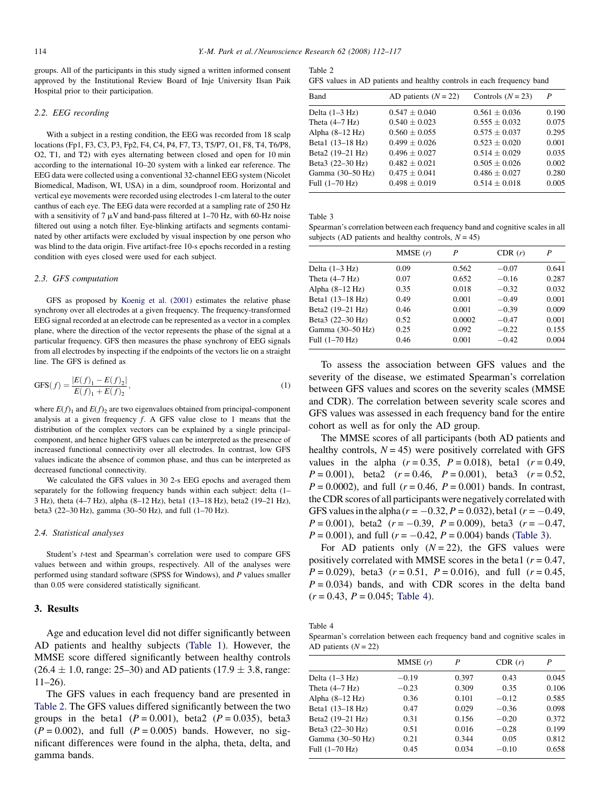groups. All of the participants in this study signed a written informed consent approved by the Institutional Review Board of Inje University Ilsan Paik Hospital prior to their participation.

## 2.2. EEG recording

With a subject in a resting condition, the EEG was recorded from 18 scalp locations (Fp1, F3, C3, P3, Fp2, F4, C4, P4, F7, T3, T5/P7, O1, F8, T4, T6/P8, O2, T1, and T2) with eyes alternating between closed and open for 10 min according to the international 10–20 system with a linked ear reference. The EEG data were collected using a conventional 32-channel EEG system (Nicolet Biomedical, Madison, WI, USA) in a dim, soundproof room. Horizontal and vertical eye movements were recorded using electrodes 1-cm lateral to the outer canthus of each eye. The EEG data were recorded at a sampling rate of 250 Hz with a sensitivity of 7  $\mu$ V and band-pass filtered at 1–70 Hz, with 60-Hz noise filtered out using a notch filter. Eye-blinking artifacts and segments contaminated by other artifacts were excluded by visual inspection by one person who was blind to the data origin. Five artifact-free 10-s epochs recorded in a resting condition with eyes closed were used for each subject.

#### 2.3. GFS computation

GFS as proposed by [Koenig et al. \(2001\)](#page-5-0) estimates the relative phase synchrony over all electrodes at a given frequency. The frequency-transformed EEG signal recorded at an electrode can be represented as a vector in a complex plane, where the direction of the vector represents the phase of the signal at a particular frequency. GFS then measures the phase synchrony of EEG signals from all electrodes by inspecting if the endpoints of the vectors lie on a straight line. The GFS is defined as

$$
GFS(f) = \frac{|E(f)_1 - E(f)_2|}{E(f)_1 + E(f)_2},\tag{1}
$$

where  $E(f)$ <sub>1</sub> and  $E(f)$ <sub>2</sub> are two eigenvalues obtained from principal-component analysis at a given frequency  $f$ . A GFS value close to 1 means that the distribution of the complex vectors can be explained by a single principalcomponent, and hence higher GFS values can be interpreted as the presence of increased functional connectivity over all electrodes. In contrast, low GFS values indicate the absence of common phase, and thus can be interpreted as decreased functional connectivity.

We calculated the GFS values in 30 2-s EEG epochs and averaged them separately for the following frequency bands within each subject: delta (1– 3 Hz), theta (4–7 Hz), alpha (8–12 Hz), beta1 (13–18 Hz), beta2 (19–21 Hz), beta3 (22–30 Hz), gamma (30–50 Hz), and full (1–70 Hz).

#### 2.4. Statistical analyses

Student's t-test and Spearman's correlation were used to compare GFS values between and within groups, respectively. All of the analyses were performed using standard software (SPSS for Windows), and P values smaller than 0.05 were considered statistically significant.

# 3. Results

Age and education level did not differ significantly between AD patients and healthy subjects [\(Table 1\)](#page-1-0). However, the MMSE score differed significantly between healthy controls  $(26.4 \pm 1.0, \text{range: } 25{\text -}30)$  and AD patients  $(17.9 \pm 3.8, \text{range: }$ 11–26).

The GFS values in each frequency band are presented in Table 2. The GFS values differed significantly between the two groups in the beta1 ( $P = 0.001$ ), beta2 ( $P = 0.035$ ), beta3  $(P = 0.002)$ , and full  $(P = 0.005)$  bands. However, no significant differences were found in the alpha, theta, delta, and gamma bands.

Table 2 GFS values in AD patients and healthy controls in each frequency band

| Band             | AD patients $(N = 22)$ | Controls $(N = 23)$ | P     |
|------------------|------------------------|---------------------|-------|
| Delta $(1-3 Hz)$ | $0.547 \pm 0.040$      | $0.561 \pm 0.036$   | 0.190 |
| Theta $(4-7 Hz)$ | $0.540 \pm 0.023$      | $0.555 \pm 0.032$   | 0.075 |
| Alpha (8-12 Hz)  | $0.560 \pm 0.055$      | $0.575 + 0.037$     | 0.295 |
| Beta1 (13-18 Hz) | $0.499 \pm 0.026$      | $0.523 + 0.020$     | 0.001 |
| Beta2 (19-21 Hz) | $0.496 \pm 0.027$      | $0.514 \pm 0.029$   | 0.035 |
| Beta3 (22-30 Hz) | $0.482 \pm 0.021$      | $0.505 \pm 0.026$   | 0.002 |
| Gamma (30-50 Hz) | $0.475 \pm 0.041$      | $0.486 \pm 0.027$   | 0.280 |
| Full $(1-70 Hz)$ | $0.498 \pm 0.019$      | $0.514 \pm 0.018$   | 0.005 |

Table 3

Spearman's correlation between each frequency band and cognitive scales in all subjects (AD patients and healthy controls,  $N = 45$ )

|                   | MMSE(r) | P      | CDR(r)  | P     |
|-------------------|---------|--------|---------|-------|
| Delta $(1-3 Hz)$  | 0.09    | 0.562  | $-0.07$ | 0.641 |
| Theta $(4-7 Hz)$  | 0.07    | 0.652  | $-0.16$ | 0.287 |
| Alpha $(8-12 Hz)$ | 0.35    | 0.018  | $-0.32$ | 0.032 |
| Beta1 (13-18 Hz)  | 0.49    | 0.001  | $-0.49$ | 0.001 |
| Beta2 (19-21 Hz)  | 0.46    | 0.001  | $-0.39$ | 0.009 |
| Beta3 (22-30 Hz)  | 0.52    | 0.0002 | $-0.47$ | 0.001 |
| Gamma (30-50 Hz)  | 0.25    | 0.092  | $-0.22$ | 0.155 |
| Full $(1-70 Hz)$  | 0.46    | 0.001  | $-0.42$ | 0.004 |

To assess the association between GFS values and the severity of the disease, we estimated Spearman's correlation between GFS values and scores on the severity scales (MMSE and CDR). The correlation between severity scale scores and GFS values was assessed in each frequency band for the entire cohort as well as for only the AD group.

The MMSE scores of all participants (both AD patients and healthy controls,  $N = 45$ ) were positively correlated with GFS values in the alpha  $(r = 0.35, P = 0.018)$ , betal  $(r = 0.49, P = 0.018)$  $P = 0.001$ ), beta2  $(r = 0.46, P = 0.001)$ , beta3  $(r = 0.52,$  $P = 0.0002$ ), and full ( $r = 0.46$ ,  $P = 0.001$ ) bands. In contrast, the CDR scores of all participants were negatively correlated with GFS values in the alpha ( $r = -0.32$ ,  $P = 0.032$ ), beta1 ( $r = -0.49$ ,  $P = 0.001$ ), beta2 ( $r = -0.39$ ,  $P = 0.009$ ), beta3 ( $r = -0.47$ ,  $P = 0.001$ , and full ( $r = -0.42$ ,  $P = 0.004$ ) bands (Table 3).

For AD patients only  $(N = 22)$ , the GFS values were positively correlated with MMSE scores in the beta1  $(r = 0.47,$  $P = 0.029$ , beta3 ( $r = 0.51$ ,  $P = 0.016$ ), and full ( $r = 0.45$ ,  $P = 0.034$ ) bands, and with CDR scores in the delta band  $(r = 0.43, P = 0.045;$  Table 4).

Table 4

Spearman's correlation between each frequency band and cognitive scales in AD patients  $(N = 22)$ 

|                   | MMSE(r) | P     | CDR(r)  | P     |
|-------------------|---------|-------|---------|-------|
| Delta $(1-3 Hz)$  | $-0.19$ | 0.397 | 0.43    | 0.045 |
| Theta $(4-7 Hz)$  | $-0.23$ | 0.309 | 0.35    | 0.106 |
| Alpha $(8-12 Hz)$ | 0.36    | 0.101 | $-0.12$ | 0.585 |
| Beta1 (13-18 Hz)  | 0.47    | 0.029 | $-0.36$ | 0.098 |
| Beta2 (19-21 Hz)  | 0.31    | 0.156 | $-0.20$ | 0.372 |
| Beta3 (22-30 Hz)  | 0.51    | 0.016 | $-0.28$ | 0.199 |
| Gamma (30-50 Hz)  | 0.21    | 0.344 | 0.05    | 0.812 |
| Full $(1-70 Hz)$  | 0.45    | 0.034 | $-0.10$ | 0.658 |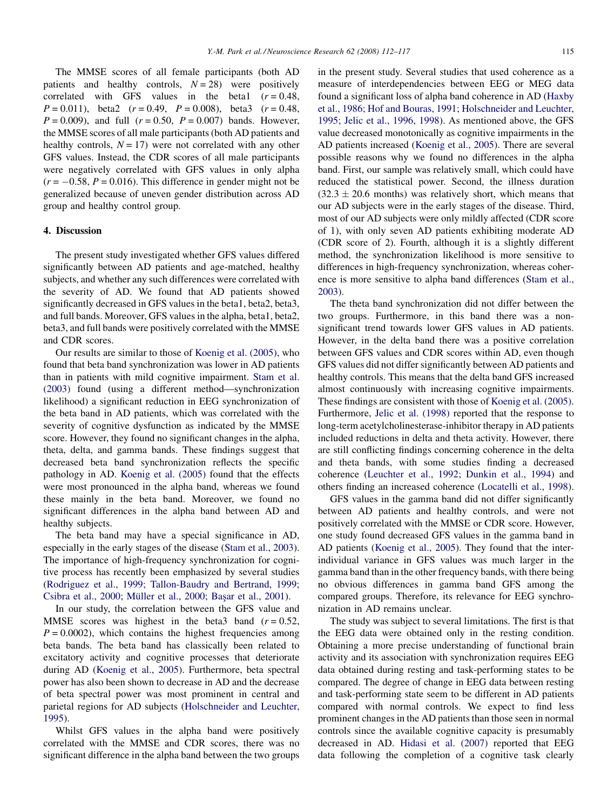The MMSE scores of all female participants (both AD patients and healthy controls,  $N = 28$ ) were positively correlated with GFS values in the beta1  $(r = 0.48,$  $P = 0.011$ ), beta2 ( $r = 0.49$ ,  $P = 0.008$ ), beta3 ( $r = 0.48$ ,  $P = 0.009$ , and full ( $r = 0.50$ ,  $P = 0.007$ ) bands. However, the MMSE scores of all male participants (both AD patients and healthy controls,  $N = 17$ ) were not correlated with any other GFS values. Instead, the CDR scores of all male participants were negatively correlated with GFS values in only alpha  $(r = -0.58, P = 0.016)$ . This difference in gender might not be generalized because of uneven gender distribution across AD group and healthy control group.

## 4. Discussion

The present study investigated whether GFS values differed significantly between AD patients and age-matched, healthy subjects, and whether any such differences were correlated with the severity of AD. We found that AD patients showed significantly decreased in GFS values in the beta1, beta2, beta3, and full bands. Moreover, GFS values in the alpha, beta1, beta2, beta3, and full bands were positively correlated with the MMSE and CDR scores.

Our results are similar to those of [Koenig et al. \(2005\)](#page-5-0), who found that beta band synchronization was lower in AD patients than in patients with mild cognitive impairment. [Stam et al.](#page-5-0) [\(2003\)](#page-5-0) found (using a different method—synchronization likelihood) a significant reduction in EEG synchronization of the beta band in AD patients, which was correlated with the severity of cognitive dysfunction as indicated by the MMSE score. However, they found no significant changes in the alpha, theta, delta, and gamma bands. These findings suggest that decreased beta band synchronization reflects the specific pathology in AD. [Koenig et al. \(2005\)](#page-5-0) found that the effects were most pronounced in the alpha band, whereas we found these mainly in the beta band. Moreover, we found no significant differences in the alpha band between AD and healthy subjects.

The beta band may have a special significance in AD, especially in the early stages of the disease [\(Stam et al., 2003\)](#page-5-0). The importance of high-frequency synchronization for cognitive process has recently been emphasized by several studies ([Rodriguez et al., 1999; Tallon-Baudry and Bertrand, 1999;](#page-5-0) Csibra et al., 2000; Müller et al., 2000; Başar et al., 2001).

In our study, the correlation between the GFS value and MMSE scores was highest in the beta3 band  $(r = 0.52)$ ,  $P = 0.0002$ , which contains the highest frequencies among beta bands. The beta band has classically been related to excitatory activity and cognitive processes that deteriorate during AD [\(Koenig et al., 2005](#page-5-0)). Furthermore, beta spectral power has also been shown to decrease in AD and the decrease of beta spectral power was most prominent in central and parietal regions for AD subjects ([Holschneider and Leuchter,](#page-4-0) [1995](#page-4-0)).

Whilst GFS values in the alpha band were positively correlated with the MMSE and CDR scores, there was no significant difference in the alpha band between the two groups in the present study. Several studies that used coherence as a measure of interdependencies between EEG or MEG data found a significant loss of alpha band coherence in AD ([Haxby](#page-4-0) [et al., 1986; Hof and Bouras, 1991; Holschneider and Leuchter,](#page-4-0) [1995; Jelic et al., 1996, 1998\)](#page-4-0). As mentioned above, the GFS value decreased monotonically as cognitive impairments in the AD patients increased ([Koenig et al., 2005](#page-5-0)). There are several possible reasons why we found no differences in the alpha band. First, our sample was relatively small, which could have reduced the statistical power. Second, the illness duration  $(32.3 \pm 20.6 \text{ months})$  was relatively short, which means that our AD subjects were in the early stages of the disease. Third, most of our AD subjects were only mildly affected (CDR score of 1), with only seven AD patients exhibiting moderate AD (CDR score of 2). Fourth, although it is a slightly different method, the synchronization likelihood is more sensitive to differences in high-frequency synchronization, whereas coherence is more sensitive to alpha band differences ([Stam et al.,](#page-5-0) [2003](#page-5-0)).

The theta band synchronization did not differ between the two groups. Furthermore, in this band there was a nonsignificant trend towards lower GFS values in AD patients. However, in the delta band there was a positive correlation between GFS values and CDR scores within AD, even though GFS values did not differ significantly between AD patients and healthy controls. This means that the delta band GFS increased almost continuously with increasing cognitive impairments. These findings are consistent with those of [Koenig et al. \(2005\)](#page-5-0). Furthermore, [Jelic et al. \(1998\)](#page-4-0) reported that the response to long-term acetylcholinesterase-inhibitor therapy in AD patients included reductions in delta and theta activity. However, there are still conflicting findings concerning coherence in the delta and theta bands, with some studies finding a decreased coherence [\(Leuchter et al., 1992; Dunkin et al., 1994](#page-5-0)) and others finding an increased coherence ([Locatelli et al., 1998\)](#page-5-0).

GFS values in the gamma band did not differ significantly between AD patients and healthy controls, and were not positively correlated with the MMSE or CDR score. However, one study found decreased GFS values in the gamma band in AD patients [\(Koenig et al., 2005\)](#page-5-0). They found that the interindividual variance in GFS values was much larger in the gamma band than in the other frequency bands, with there being no obvious differences in gamma band GFS among the compared groups. Therefore, its relevance for EEG synchronization in AD remains unclear.

The study was subject to several limitations. The first is that the EEG data were obtained only in the resting condition. Obtaining a more precise understanding of functional brain activity and its association with synchronization requires EEG data obtained during resting and task-performing states to be compared. The degree of change in EEG data between resting and task-performing state seem to be different in AD patients compared with normal controls. We expect to find less prominent changes in the AD patients than those seen in normal controls since the available cognitive capacity is presumably decreased in AD. [Hidasi et al. \(2007\)](#page-4-0) reported that EEG data following the completion of a cognitive task clearly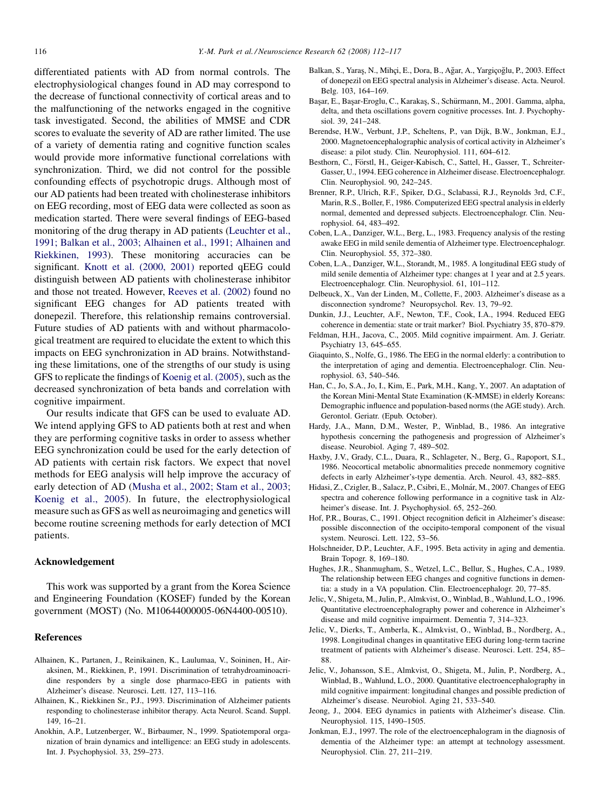<span id="page-4-0"></span>differentiated patients with AD from normal controls. The electrophysiological changes found in AD may correspond to the decrease of functional connectivity of cortical areas and to the malfunctioning of the networks engaged in the cognitive task investigated. Second, the abilities of MMSE and CDR scores to evaluate the severity of AD are rather limited. The use of a variety of dementia rating and cognitive function scales would provide more informative functional correlations with synchronization. Third, we did not control for the possible confounding effects of psychotropic drugs. Although most of our AD patients had been treated with cholinesterase inhibitors on EEG recording, most of EEG data were collected as soon as medication started. There were several findings of EEG-based monitoring of the drug therapy in AD patients [\(Leuchter et al.,](#page-5-0) [1991; Balkan et al., 2003; Alhainen et al., 1991; Alhainen and](#page-5-0) [Riekkinen, 1993](#page-5-0)). These monitoring accuracies can be significant. [Knott et al. \(2000, 2001\)](#page-5-0) reported qEEG could distinguish between AD patients with cholinesterase inhibitor and those not treated. However, [Reeves et al. \(2002\)](#page-5-0) found no significant EEG changes for AD patients treated with donepezil. Therefore, this relationship remains controversial. Future studies of AD patients with and without pharmacological treatment are required to elucidate the extent to which this impacts on EEG synchronization in AD brains. Notwithstanding these limitations, one of the strengths of our study is using GFS to replicate the findings of [Koenig et al. \(2005\)](#page-5-0), such as the decreased synchronization of beta bands and correlation with cognitive impairment.

Our results indicate that GFS can be used to evaluate AD. We intend applying GFS to AD patients both at rest and when they are performing cognitive tasks in order to assess whether EEG synchronization could be used for the early detection of AD patients with certain risk factors. We expect that novel methods for EEG analysis will help improve the accuracy of early detection of AD ([Musha et al., 2002; Stam et al., 2003;](#page-5-0) [Koenig et al., 2005\)](#page-5-0). In future, the electrophysiological measure such as GFS as well as neuroimaging and genetics will become routine screening methods for early detection of MCI patients.

## Acknowledgement

This work was supported by a grant from the Korea Science and Engineering Foundation (KOSEF) funded by the Korean government (MOST) (No. M10644000005-06N4400-00510).

## References

- Alhainen, K., Partanen, J., Reinikainen, K., Laulumaa, V., Soininen, H., Airaksinen, M., Riekkinen, P., 1991. Discrimination of tetrahydroaminoacridine responders by a single dose pharmaco-EEG in patients with Alzheimer's disease. Neurosci. Lett. 127, 113–116.
- Alhainen, K., Riekkinen Sr., P.J., 1993. Discrimination of Alzheimer patients responding to cholinesterase inhibitor therapy. Acta Neurol. Scand. Suppl. 149, 16–21.
- Anokhin, A.P., Lutzenberger, W., Birbaumer, N., 1999. Spatiotemporal organization of brain dynamics and intelligence: an EEG study in adolescents. Int. J. Psychophysiol. 33, 259–273.
- Balkan, S., Yaraş, N., Mihçi, E., Dora, B., Ağar, A., Yargiçoğlu, P., 2003. Effect of donepezil on EEG spectral analysis in Alzheimer's disease. Acta. Neurol. Belg. 103, 164–169.
- Başar, E., Başar-Eroglu, C., Karakaş, S., Schürmann, M., 2001. Gamma, alpha, delta, and theta oscillations govern cognitive processes. Int. J. Psychophysiol. 39, 241–248.
- Berendse, H.W., Verbunt, J.P., Scheltens, P., van Dijk, B.W., Jonkman, E.J., 2000. Magnetoencephalographic analysis of cortical activity in Alzheimer's disease: a pilot study. Clin. Neurophysiol. 111, 604–612.
- Besthorn, C., Förstl, H., Geiger-Kabisch, C., Sattel, H., Gasser, T., Schreiter-Gasser, U., 1994. EEG coherence in Alzheimer disease. Electroencephalogr. Clin. Neurophysiol. 90, 242–245.
- Brenner, R.P., Ulrich, R.F., Spiker, D.G., Sclabassi, R.J., Reynolds 3rd, C.F., Marin, R.S., Boller, F., 1986. Computerized EEG spectral analysis in elderly normal, demented and depressed subjects. Electroencephalogr. Clin. Neurophysiol. 64, 483–492.
- Coben, L.A., Danziger, W.L., Berg, L., 1983. Frequency analysis of the resting awake EEG in mild senile dementia of Alzheimer type. Electroencephalogr. Clin. Neurophysiol. 55, 372–380.
- Coben, L.A., Danziger, W.L., Storandt, M., 1985. A longitudinal EEG study of mild senile dementia of Alzheimer type: changes at 1 year and at 2.5 years. Electroencephalogr. Clin. Neurophysiol. 61, 101–112.
- Delbeuck, X., Van der Linden, M., Collette, F., 2003. Alzheimer's disease as a disconnection syndrome? Neuropsychol. Rev. 13, 79–92.
- Dunkin, J.J., Leuchter, A.F., Newton, T.F., Cook, I.A., 1994. Reduced EEG coherence in dementia: state or trait marker? Biol. Psychiatry 35, 870–879.
- Feldman, H.H., Jacova, C., 2005. Mild cognitive impairment. Am. J. Geriatr. Psychiatry 13, 645–655.
- Giaquinto, S., Nolfe, G., 1986. The EEG in the normal elderly: a contribution to the interpretation of aging and dementia. Electroencephalogr. Clin. Neurophysiol. 63, 540–546.
- Han, C., Jo, S.A., Jo, I., Kim, E., Park, M.H., Kang, Y., 2007. An adaptation of the Korean Mini-Mental State Examination (K-MMSE) in elderly Koreans: Demographic influence and population-based norms (the AGE study). Arch. Gerontol. Geriatr. (Epub. October).
- Hardy, J.A., Mann, D.M., Wester, P., Winblad, B., 1986. An integrative hypothesis concerning the pathogenesis and progression of Alzheimer's disease. Neurobiol. Aging 7, 489–502.
- Haxby, J.V., Grady, C.L., Duara, R., Schlageter, N., Berg, G., Rapoport, S.I., 1986. Neocortical metabolic abnormalities precede nonmemory cognitive defects in early Alzheimer's-type dementia. Arch. Neurol. 43, 882–885.
- Hidasi, Z., Czigler, B., Salacz, P., Csibri, E., Molnár, M., 2007. Changes of EEG spectra and coherence following performance in a cognitive task in Alzheimer's disease. Int. J. Psychophysiol. 65, 252–260.
- Hof, P.R., Bouras, C., 1991. Object recognition deficit in Alzheimer's disease: possible disconnection of the occipito-temporal component of the visual system. Neurosci. Lett. 122, 53–56.
- Holschneider, D.P., Leuchter, A.F., 1995. Beta activity in aging and dementia. Brain Topogr. 8, 169–180.
- Hughes, J.R., Shanmugham, S., Wetzel, L.C., Bellur, S., Hughes, C.A., 1989. The relationship between EEG changes and cognitive functions in dementia: a study in a VA population. Clin. Electroencephalogr. 20, 77–85.
- Jelic, V., Shigeta, M., Julin, P., Almkvist, O., Winblad, B., Wahlund, L.O., 1996. Quantitative electroencephalography power and coherence in Alzheimer's disease and mild cognitive impairment. Dementia 7, 314–323.
- Jelic, V., Dierks, T., Amberla, K., Almkvist, O., Winblad, B., Nordberg, A., 1998. Longitudinal changes in quantitative EEG during long-term tacrine treatment of patients with Alzheimer's disease. Neurosci. Lett. 254, 85– 88.
- Jelic, V., Johansson, S.E., Almkvist, O., Shigeta, M., Julin, P., Nordberg, A., Winblad, B., Wahlund, L.O., 2000. Quantitative electroencephalography in mild cognitive impairment: longitudinal changes and possible prediction of Alzheimer's disease. Neurobiol. Aging 21, 533–540.
- Jeong, J., 2004. EEG dynamics in patients with Alzheimer's disease. Clin. Neurophysiol. 115, 1490–1505.
- Jonkman, E.J., 1997. The role of the electroencephalogram in the diagnosis of dementia of the Alzheimer type: an attempt at technology assessment. Neurophysiol. Clin. 27, 211–219.